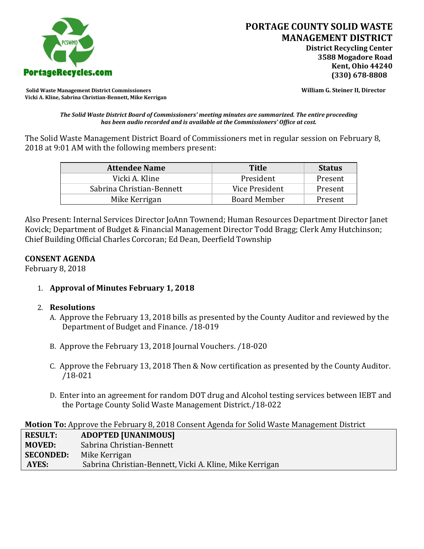

**Solid Waste Management District Commissioners William G. Steiner II, Director Vicki A. Kline, Sabrina Christian-Bennett, Mike Kerrigan** 

*The Solid Waste District Board of Commissioners' meeting minutes are summarized. The entire proceeding has been audio recorded and is available at the Commissioners' Office at cost.*

The Solid Waste Management District Board of Commissioners met in regular session on February 8, 2018 at 9:01 AM with the following members present:

| <b>Attendee Name</b>      | <b>Title</b>        | <b>Status</b> |
|---------------------------|---------------------|---------------|
| Vicki A. Kline            | President           | Present       |
| Sabrina Christian-Bennett | Vice President      | Present       |
| Mike Kerrigan             | <b>Board Member</b> | Present       |

Also Present: Internal Services Director JoAnn Townend; Human Resources Department Director Janet Kovick; Department of Budget & Financial Management Director Todd Bragg; Clerk Amy Hutchinson; Chief Building Official Charles Corcoran; Ed Dean, Deerfield Township

### **CONSENT AGENDA**

February 8, 2018

1. **Approval of Minutes February 1, 2018**

### 2. **Resolutions**

- A. Approve the February 13, 2018 bills as presented by the County Auditor and reviewed by the Department of Budget and Finance. /18-019
- B. Approve the February 13, 2018 Journal Vouchers. /18-020
- C. Approve the February 13, 2018 Then & Now certification as presented by the County Auditor. /18-021
- D. Enter into an agreement for random DOT drug and Alcohol testing services between IEBT and the Portage County Solid Waste Management District./18-022

**Motion To:** Approve the February 8, 2018 Consent Agenda for Solid Waste Management District

| <b>RESULT:</b>   | <b>ADOPTED [UNANIMOUS]</b>                               |
|------------------|----------------------------------------------------------|
| <b>MOVED:</b>    | Sabrina Christian-Bennett                                |
| <b>SECONDED:</b> | Mike Kerrigan                                            |
| AYES:            | Sabrina Christian-Bennett, Vicki A. Kline, Mike Kerrigan |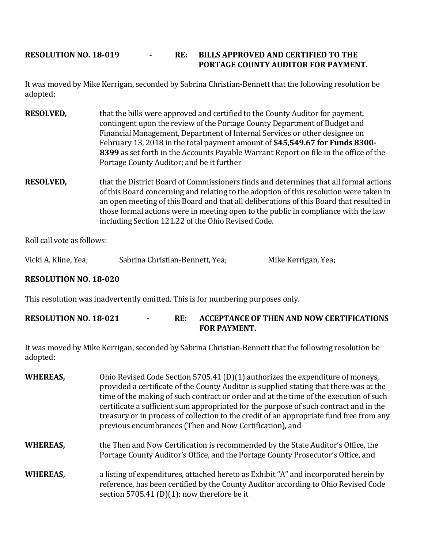# **RESOLUTION NO. 18-019 - RE: BILLS APPROVED AND CERTIFIED TO THE PORTAGE COUNTY AUDITOR FOR PAYMENT.**

It was moved by Mike Kerrigan, seconded by Sabrina Christian-Bennett that the following resolution be adopted:

- **RESOLVED,** that the bills were approved and certified to the County Auditor for payment, contingent upon the review of the Portage County Department of Budget and Financial Management, Department of Internal Services or other designee on February 13, 2018 in the total payment amount of **\$45,549.67 for Funds 8300- 8399** as set forth in the Accounts Payable Warrant Report on file in the office of the Portage County Auditor; and be it further
- **RESOLVED,** that the District Board of Commissioners finds and determines that all formal actions of this Board concerning and relating to the adoption of this resolution were taken in an open meeting of this Board and that all deliberations of this Board that resulted in those formal actions were in meeting open to the public in compliance with the law including Section 121.22 of the Ohio Revised Code.

Roll call vote as follows:

Vicki A. Kline, Yea; Sabrina Christian-Bennett, Yea; Mike Kerrigan, Yea;

### **RESOLUTION NO. 18-020**

This resolution was inadvertently omitted. This is for numbering purposes only.

### **RESOLUTION NO. 18-021 - RE: ACCEPTANCE OF THEN AND NOW CERTIFICATIONS FOR PAYMENT.**

It was moved by Mike Kerrigan, seconded by Sabrina Christian-Bennett that the following resolution be adopted:

| <b>WHEREAS,</b> | Ohio Revised Code Section 5705.41 (D)(1) authorizes the expenditure of moneys,<br>provided a certificate of the County Auditor is supplied stating that there was at the<br>time of the making of such contract or order and at the time of the execution of such<br>certificate a sufficient sum appropriated for the purpose of such contract and in the<br>treasury or in process of collection to the credit of an appropriate fund free from any<br>previous encumbrances (Then and Now Certification), and |
|-----------------|------------------------------------------------------------------------------------------------------------------------------------------------------------------------------------------------------------------------------------------------------------------------------------------------------------------------------------------------------------------------------------------------------------------------------------------------------------------------------------------------------------------|
| <b>WHEREAS,</b> | the Then and Now Certification is recommended by the State Auditor's Office, the<br>Portage County Auditor's Office, and the Portage County Prosecutor's Office, and                                                                                                                                                                                                                                                                                                                                             |
| <b>WHEREAS,</b> | a listing of expenditures, attached hereto as Exhibit "A" and incorporated herein by<br>reference, has been certified by the County Auditor according to Ohio Revised Code                                                                                                                                                                                                                                                                                                                                       |

section 5705.41 (D)(1); now therefore be it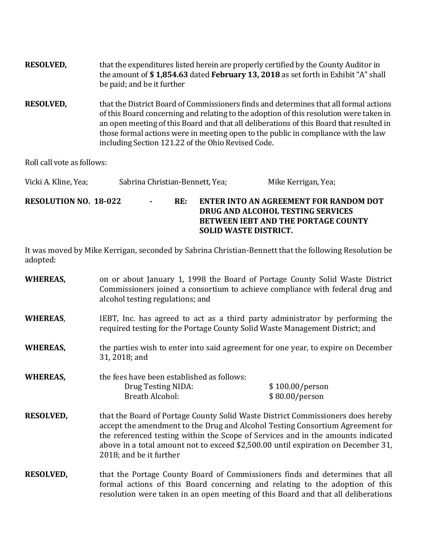| <b>RESOLVED,</b> | that the expenditures listed herein are properly certified by the County Auditor in<br>the amount of \$1,854.63 dated February 13, 2018 as set forth in Exhibit "A" shall<br>be paid; and be it further                                                                                                                                                                                                                |
|------------------|------------------------------------------------------------------------------------------------------------------------------------------------------------------------------------------------------------------------------------------------------------------------------------------------------------------------------------------------------------------------------------------------------------------------|
| <b>RESOLVED,</b> | that the District Board of Commissioners finds and determines that all formal actions<br>of this Board concerning and relating to the adoption of this resolution were taken in<br>an open meeting of this Board and that all deliberations of this Board that resulted in<br>those formal actions were in meeting open to the public in compliance with the law<br>including Section 121.22 of the Ohio Revised Code. |

Roll call vote as follows:

| Vicki A. Kline, Yea;         |                |     | Sabrina Christian-Bennett, Yea;<br>Mike Kerrigan, Yea;                                                                                                    |
|------------------------------|----------------|-----|-----------------------------------------------------------------------------------------------------------------------------------------------------------|
| <b>RESOLUTION NO. 18-022</b> | $\blacksquare$ | RE: | ENTER INTO AN AGREEMENT FOR RANDOM DOT<br>DRUG AND ALCOHOL TESTING SERVICES<br><b>BETWEEN JEBT AND THE PORTAGE COUNTY</b><br><b>SOLID WASTE DISTRICT.</b> |

It was moved by Mike Kerrigan, seconded by Sabrina Christian-Bennett that the following Resolution be adopted:

| <b>WHEREAS,</b> | on or about January 1, 1998 the Board of Portage County Solid Waste District  |
|-----------------|-------------------------------------------------------------------------------|
|                 | Commissioners joined a consortium to achieve compliance with federal drug and |
|                 | alcohol testing regulations; and                                              |

- **WHEREAS,** IEBT, Inc. has agreed to act as a third party administrator by performing the required testing for the Portage County Solid Waste Management District; and
- **WHEREAS,** the parties wish to enter into said agreement for one year, to expire on December 31, 2018; and

**WHEREAS,** the fees have been established as follows: Drug Testing NIDA: \$ 100.00/person Breath Alcohol: \$ 80.00/person

- **RESOLVED,** that the Board of Portage County Solid Waste District Commissioners does hereby accept the amendment to the Drug and Alcohol Testing Consortium Agreement for the referenced testing within the Scope of Services and in the amounts indicated above in a total amount not to exceed \$2,500.00 until expiration on December 31, 2018; and be it further
- **RESOLVED,** that the Portage County Board of Commissioners finds and determines that all formal actions of this Board concerning and relating to the adoption of this resolution were taken in an open meeting of this Board and that all deliberations